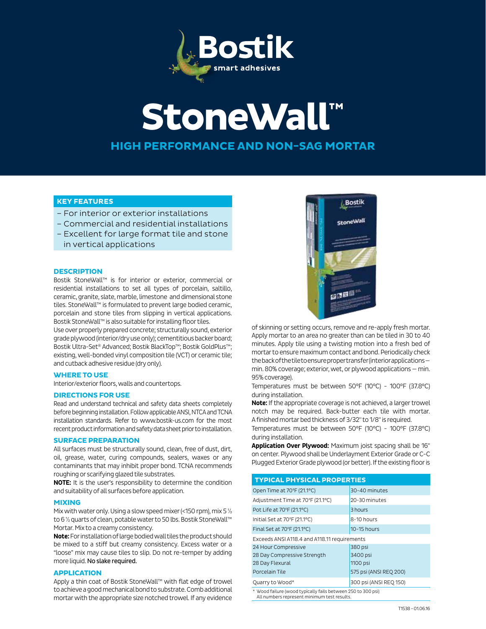

# **StoneWall™ HIGH PERFORMANCE AND NON-SAG MORTAR**

# **KEY FEATURES**

- For interior or exterior installations
- Commercial and residential installations
- Excellent for large format tile and stone in vertical applications

# **DESCRIPTION**

Bostik StoneWall™ is for interior or exterior, commercial or residential installations to set all types of porcelain, saltillo, ceramic, granite, slate, marble, limestone and dimensional stone tiles. StoneWall™ is formulated to prevent large bodied ceramic, porcelain and stone tiles from slipping in vertical applications. Bostik StoneWall™ is also suitable for installing floor tiles.

Use over properly prepared concrete; structurally sound, exterior grade plywood (interior/dry use only); cementitious backer board; Bostik Ultra-Set® Advanced; Bostik BlackTop™; Bostik GoldPlus™; existing, well-bonded vinyl composition tile (VCT) or ceramic tile; and cutback adhesive residue (dry only).

## **WHERE TO USE**

Interior/exterior floors, walls and countertops.

# **DIRECTIONS FOR USE**

Read and understand technical and safety data sheets completely before beginning installation. Follow applicable ANSI, NTCA and TCNA installation standards. Refer to www.bostik-us.com for the most recent product information and safety data sheet prior to installation.

# **SURFACE PREPARATION**

All surfaces must be structurally sound, clean, free of dust, dirt, oil, grease, water, curing compounds, sealers, waxes or any contaminants that may inhibit proper bond. TCNA recommends roughing or scarifying glazed tile substrates.

**NOTE:** It is the user's responsibility to determine the condition and suitability of all surfaces before application.

## **MIXING**

Mix with water only. Using a slow speed mixer (<150 rpm), mix 5 ½ to 6 ½ quarts of clean, potable water to 50 lbs. Bostik StoneWall™ Mortar. Mix to a creamy consistency.

**Note:** For installation of large bodied wall tiles the product should be mixed to a stiff but creamy consistency. Excess water or a "loose" mix may cause tiles to slip. Do not re-temper by adding more liquid. No slake required.

# **APPLICATION**

Apply a thin coat of Bostik StoneWall™ with flat edge of trowel to achieve a good mechanical bond to substrate. Comb additional mortar with the appropriate size notched trowel. If any evidence



of skinning or setting occurs, remove and re-apply fresh mortar. Apply mortar to an area no greater than can be tiled in 30 to 40 minutes. Apply tile using a twisting motion into a fresh bed of mortar to ensure maximum contact and bond. Periodically check the back of the tile to ensure proper transfer (interior applications min. 80% coverage; exterior, wet, or plywood applications — min. 95% coverage).

Temperatures must be between 50°F (10°C) - 100°F (37.8°C) during installation.

**Note:** If the appropriate coverage is not achieved, a larger trowel notch may be required. Back-butter each tile with mortar. A finished mortar bed thickness of 3/32" to 1/8" is required.

Temperatures must be between 50°F (10°C) - 100°F (37.8°C) during installation.

**Application Over Plywood:** Maximum joist spacing shall be 16" on center. Plywood shall be Underlayment Exterior Grade or C-C Plugged Exterior Grade plywood (or better). If the existing floor is

| <b>TYPICAL PHYSICAL PROPERTIES</b>                           |                        |
|--------------------------------------------------------------|------------------------|
| Open Time at 70°F (21.1°C)                                   | 30-40 minutes          |
| Adjustment Time at 70°F (21.1°C)                             | 20-30 minutes          |
| Pot Life at 70°F (21.1°C)                                    | 3 hours                |
| Initial Set at 70°F (21.1°C)                                 | 8-10 hours             |
| Final Set at 70°F (21.1°C)                                   | $10-15$ hours          |
| Exceeds ANSI A118.4 and A118.11 requirements                 |                        |
| 24 Hour Compressive                                          | 380 psi                |
| 28 Day Compressive Strength                                  | 3400 psi               |
| 28 Day Flexural                                              | 1100 psi               |
| Porcelain Tile                                               | 575 psi (ANSI REQ 200) |
| Quarry to Wood*                                              | 300 psi (ANSI REQ 150) |
| * Wood failure (wood typically fails between 250 to 300 psi) |                        |

\* Wood failure (wood typically fails between 250 to 300 psi) All numbers represent minimum test results.